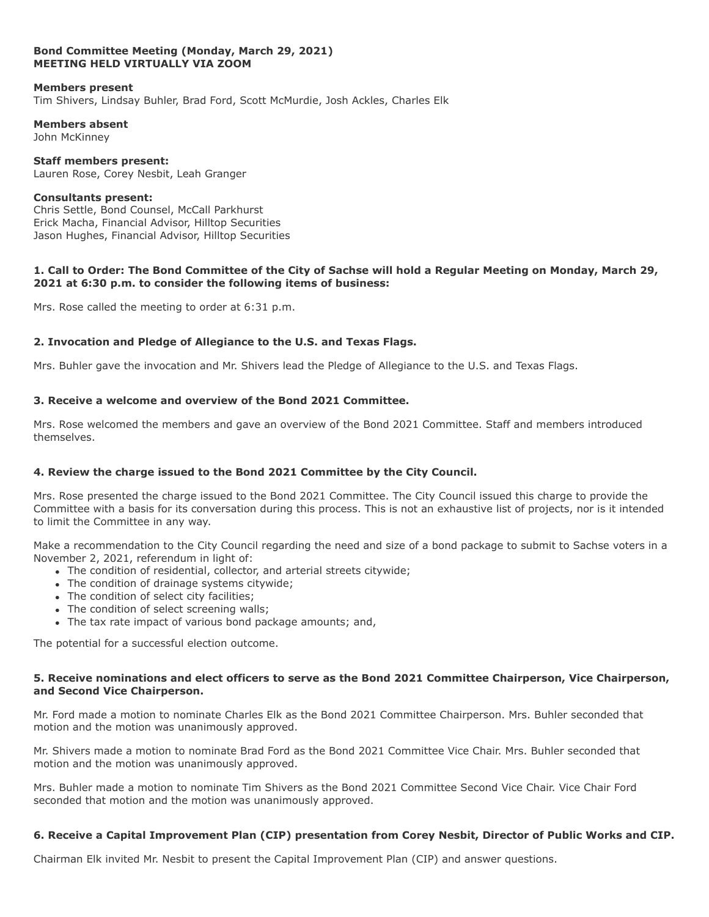### **Bond Committee Meeting (Monday, March 29, 2021) MEETING HELD VIRTUALLY VIA ZOOM**

#### **Members present**

Tim Shivers, Lindsay Buhler, Brad Ford, Scott McMurdie, Josh Ackles, Charles Elk

**Members absent** John McKinney

**Staff members present:** Lauren Rose, Corey Nesbit, Leah Granger

### **Consultants present:**

Chris Settle, Bond Counsel, McCall Parkhurst Erick Macha, Financial Advisor, Hilltop Securities Jason Hughes, Financial Advisor, Hilltop Securities

### **1. Call to Order: The Bond Committee of the City of Sachse will hold a Regular Meeting on Monday, March 29, 2021 at 6:30 p.m. to consider the following items of business:**

Mrs. Rose called the meeting to order at 6:31 p.m.

# **2. Invocation and Pledge of Allegiance to the U.S. and Texas Flags.**

Mrs. Buhler gave the invocation and Mr. Shivers lead the Pledge of Allegiance to the U.S. and Texas Flags.

# **3. Receive a welcome and overview of the Bond 2021 Committee.**

Mrs. Rose welcomed the members and gave an overview of the Bond 2021 Committee. Staff and members introduced themselves.

# **4. Review the charge issued to the Bond 2021 Committee by the City Council.**

Mrs. Rose presented the charge issued to the Bond 2021 Committee. The City Council issued this charge to provide the Committee with a basis for its conversation during this process. This is not an exhaustive list of projects, nor is it intended to limit the Committee in any way.

Make a recommendation to the City Council regarding the need and size of a bond package to submit to Sachse voters in a November 2, 2021, referendum in light of:

- The condition of residential, collector, and arterial streets citywide;
- The condition of drainage systems citywide:
- The condition of select city facilities:
- The condition of select screening walls:
- The tax rate impact of various bond package amounts; and,

The potential for a successful election outcome.

### **5. Receive nominations and elect officers to serve as the Bond 2021 Committee Chairperson, Vice Chairperson, and Second Vice Chairperson.**

Mr. Ford made a motion to nominate Charles Elk as the Bond 2021 Committee Chairperson. Mrs. Buhler seconded that motion and the motion was unanimously approved.

Mr. Shivers made a motion to nominate Brad Ford as the Bond 2021 Committee Vice Chair. Mrs. Buhler seconded that motion and the motion was unanimously approved.

Mrs. Buhler made a motion to nominate Tim Shivers as the Bond 2021 Committee Second Vice Chair. Vice Chair Ford seconded that motion and the motion was unanimously approved.

# **6. Receive a Capital Improvement Plan (CIP) presentation from Corey Nesbit, Director of Public Works and CIP.**

Chairman Elk invited Mr. Nesbit to present the Capital Improvement Plan (CIP) and answer questions.